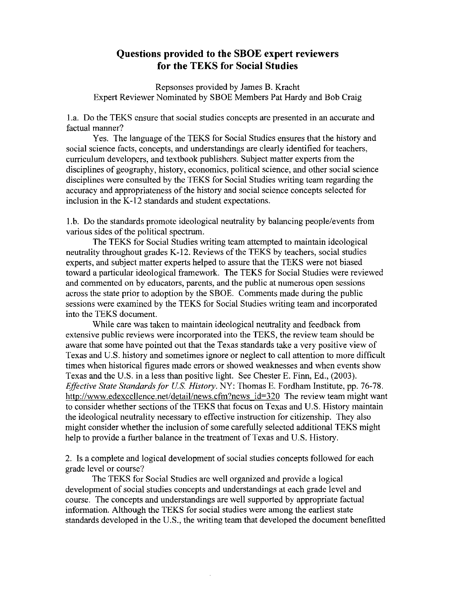## **Questions provided to the SBOE expert reviewers for the TEKS for Social Studies**

Repsonses provided by James B. Kracht Expert Reviewer Nominated by SBOE Members Pat Hardy and Bob Craig

l.a. Do the TEKS ensure that social studies concepts are presented in an accurate and factual manner?

Yes. The language of the TEKS for Social Studies ensures that the history and social science facts, concepts, and understandings are clearly identified for teachers, curriculum developers, and textbook publishers. Subject matter experts from the disciplines of geography, history, economics, political science, and other social science disciplines were consulted by the TEKS for Social Studies writing team regarding the accuracy and appropriateness of the history and social science concepts selected for inclusion in the K-12 standards and student expectations.

l.b. Do the standards promote ideological neutrality by balancing people/events from various sides of the political spectrum.

The TEKS for Social Studies writing team attempted to maintain ideological neutrality throughout grades K-12. Reviews of the TEKS by teachers, social studies experts, and subject matter experts helped to assure that the TEKS were not biased toward a particular ideological framework. The TEKS for Social Studies were reviewed and commented on by educators, parents, and the public at numerous open sessions across the state prior to adoption by the SBOE. Comments made during the public sessions were examined by the TEKS for Social Studies writing team and incorporated into the TEKS document.

While care was taken to maintain ideological neutrality and feedback from extensive public reviews were incorporated into the TEKS, the review team should be aware that some have pointed out that the Texas standards take a very positive view of Texas and U.S. history and sometimes ignore or neglect to call attention to more difficult times when historical figures made errors or showed weaknesses and when events show Texas and the U.S. in a less than positive light. See Chester E. Finn, Ed., (2003). *Effective State Standards for U.S. History.* NY: Thomas E. Fordham Institute, pp. 76-78. http://www.edexcellence.net/detail/news.cfm?news id=320 The review team might want to consider whether sections of the TEKS that focus on Texas and U.S. History maintain the ideological neutrality necessary to effective instruction for citizenship. They also might consider whether the inclusion of some carefully selected additional TEKS might help to provide a further balance in the treatment of Texas and U.S. History.

2. Is a complete and logical development of social studies concepts followed for each grade level or course?

The TEKS for Social Studies are well organized and provide a logical development of social studies concepts and understandings at each grade level and course. The concepts and understandings are well supported by appropriate factual information. Although the TEKS for social studies were among the earliest state standards developed in the U.S., the writing team that developed the document benefitted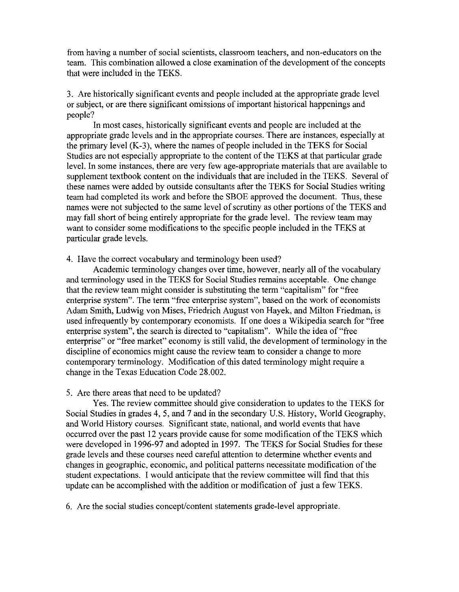from having a number of social scientists, classroom teachers, and non-educators on the team. This combination allowed a close examination of the development of the concepts that were included in the TEKS.

3. Are historically significant events and people included at the appropriate grade level or subject, or are there significant omissions of important historical happenings and people?

In most cases, historically significant events and people are included at the appropriate grade levels and in the appropriate courses. There are instances, especially at the primary level (K-3), where the names of people included in the TEKS for Social Studies are not especially appropriate to the content of the TEKS at that particular grade level. In some instances, there are very few age-appropriate materials that are available to supplement textbook content on the individuals that are included in the TEKS. Several of these names were added by outside consultants after the TEKS for Social Studies writing team had completed its work and before the SBOE approved the document. Thus, these names were not subjected to the same level of scrutiny as other portions of the TEKS and may fall short of being entirely appropriate for the grade level. The review team may want to consider some modifications to the specific people included in the TEKS at particular grade levels.

## 4. Have the correct vocabulary and terminology been used?

Academic terminology changes over time, however, nearly all of the vocabulary and terminology used in the TEKS for Social Studies remains acceptable. One change that the review team might consider is substituting the term "capitalism" for "free enterprise system". The term "free enterprise system", based on the work of economists Adam Smith, Ludwig von Mises, Friedrich August von Hayek, and Milton Friedman, is used infrequently by contemporary economists. If one does a Wikipedia search for "free enterprise system", the search is directed to "capitalism". While the idea of "free enterprise" or "free market" economy is still valid, the development of terminology in the discipline of economics might cause the review team to consider a change to more contemporary terminology. Modification of this dated terminology might require a change in the Texas Education Code 28.002.

## 5. Are there areas that need to be updated?

Yes. The review committee should give consideration to updates to the TEKS for Social Studies in grades 4,5, and 7 and in the secondary U.S. History, World Geography, and World History courses. Significant state, national, and world events that have occurred over the past 12 years provide cause for some modification of the TEKS which were developed in 1996-97 and adopted in 1997. The TEKS for Social Studies for these grade levels and these courses need careful attention to determine whether events and changes in geographic, economic, and political patterns necessitate modification of the student expectations. I would anticipate that the review committee will find that this update can be accomplished with the addition or modification of just a few TEKS.

6. Are the social studies concept/content statements grade-level appropriate.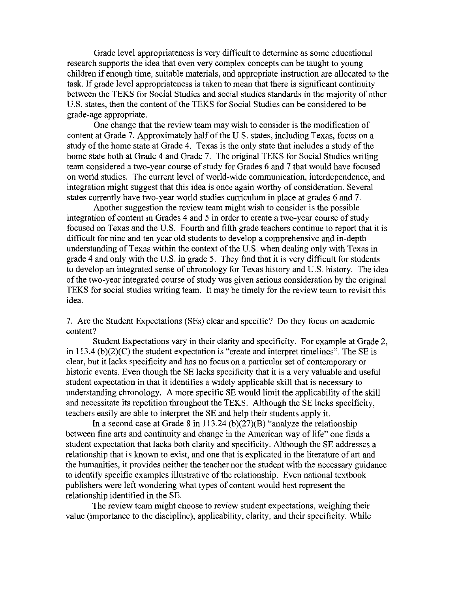Grade level appropriateness is very difficult to determine as some educational research supports the idea that even very complex concepts can be taught to young children if enough time, suitable materials, and appropriate instruction are allocated to the task. **If** grade level appropriateness is taken to mean that there is significant continuity between the TEKS for Social Studies and social studies standards in the majority of other U.S. states, then the content of the TEKS for Social Studies can be considered to be grade-age appropriate.

One change that the review team may wish to consider is the modification of content at Grade 7. Approximately half of the U.S. states, including Texas, focus on a study of the home state at Grade 4. Texas is the only state that includes a study of the home state both at Grade 4 and Grade 7. The original TEKS for Social Studies writing team considered a two-year course of study for Grades 6 and 7 that would have focused on world studies. The current level of world-wide communication, interdependence, and integration might suggest that this idea is once again worthy of consideration. Several states currently have two-year world studies curriculum in place at grades 6 and 7.

Another suggestion the review team might wish to consider is the possible integration of content in Grades 4 and 5 in order to create a two-year course of study focused on Texas and the U.S. Fourth and fifth grade teachers continue to report that it is difficult for nine and ten year old students to develop a comprehensive and in-depth understanding of Texas within the context of the U.S. when dealing only with Texas in grade 4 and only with the U.S. in grade 5. They find that it is very difficult for students to develop an integrated sense of chronology for Texas history and U.S. history. The idea of the two-year integrated course of study was given serious consideration by the original TEKS for social studies writing team. It may be timely for the review team to revisit this idea.

7. Are the Student Expectations (SEs) clear and specific? Do they focus on academic content?

Student Expectations vary in their clarity and specificity. For example at Grade 2, in 113.4  $(b)(2)(C)$  the student expectation is "create and interpret timelines". The SE is clear, but it lacks specificity and has no focus on a particular set of contemporary or historic events. Even though the SE lacks specificity that it is a very valuable and useful student expectation in that it identifies a widely applicable skill that is necessary to understanding chronology. A more specific SE would limit the applicability of the skill and necessitate its repetition throughout the TEKS. Although the SE lacks specificity, teachers easily are able to interpret the SE and help their students apply it.

**In** a second case at Grade 8 in 113.24 (b)(27)(B) "analyze the relationship between fine arts and continuity and change in the American way of life" one finds a student expectation that lacks both clarity and specificity. Although the SE addresses a relationship that is known to exist, and one that is explicated in the literature of art and the humanities, it provides neither the teacher nor the student with the necessary guidance to identify specific examples illustrative of the relationship. Even national textbook publishers were left wondering what types of content would best represent the relationship identified in the SE.

The review team might choose to review student expectations, weighing their value (importance to the discipline), applicability, clarity, and their specificity. While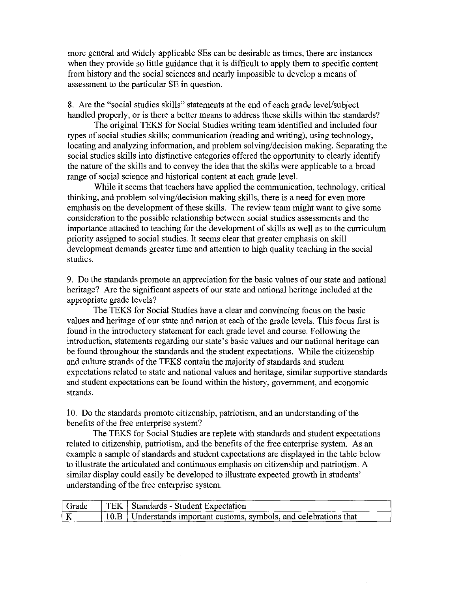more general and widely applicable SEs can be desirable as times, there are instances when they provide so little guidance that it is difficult to apply them to specific content from history and the social sciences and nearly impossible to develop a means of assessment to the particular SE in question.

8. Are the "social studies skills" statements at the end of each grade level/subject handled properly, or is there a better means to address these skills within the standards?

The original TEKS for Social Studies writing team identified and included four types of social studies skills; communication (reading and writing), using technology, locating and analyzing information, and problem solving/decision making. Separating the social studies skills into distinctive categories offered the opportunity to clearly identify the nature of the skills and to convey the idea that the skills were applicable to a broad range of social science and historical content at each grade level.

While it seems that teachers have applied the communication, technology, critical thinking, and problem solving/decision making skills, there is a need for even more emphasis on the development of these skills. The review team might want to give some consideration to the possible relationship between social studies assessments and the importance attached to teaching for the development of skills as well as to the curriculum priority assigned to social studies. It seems clear that greater emphasis on skill development demands greater time and attention to high quality teaching in the social studies.

9. Do the standards promote an appreciation for the basic values of our state and national heritage? Are the significant aspects of our state and national heritage included at the appropriate grade levels?

The TEKS for Social Studies have a clear and convincing focus on the basic values and heritage of our state and nation at each of the grade levels. This focus first is found in the introductory statement for each grade level and course. Following the introduction, statements regarding our state's basic values and our national heritage can be found throughout the standards and the student expectations. While the citizenship and culture strands of the TEKS contain the majority of standards and student expectations related to state and national values and heritage, similar supportive standards and student expectations can be found within the history, government, and economic strands.

10. Do the standards promote citizenship, patriotism, and an understanding of the benefits of the free enterprise system?

The TEKS for Social Studies are replete with standards and student expectations related to citizenship, patriotism, and the benefits of the free enterprise system. As an example a sample of standards and student expectations are displayed in the table below to illustrate the articulated and continuous emphasis on citizenship and patriotism. A similar display could easily be developed to illustrate expected growth in students' understanding of the free enterprise system.

|   | Grade   TEK   Standards - Student Expectation                        |
|---|----------------------------------------------------------------------|
| K | 10.B   Understands important customs, symbols, and celebrations that |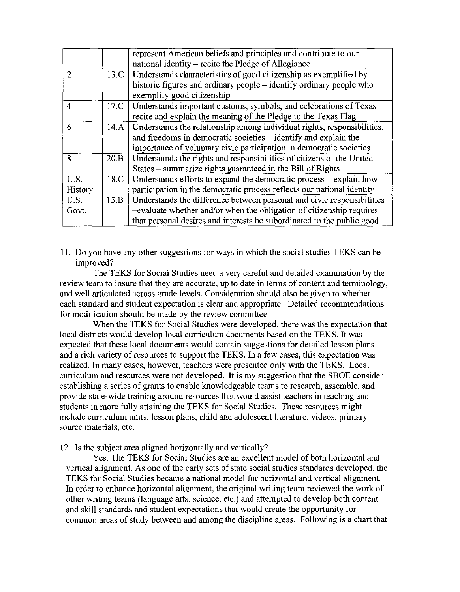|                |      | represent American beliefs and principles and contribute to our                |  |  |
|----------------|------|--------------------------------------------------------------------------------|--|--|
|                |      | national identity – recite the Pledge of Allegiance                            |  |  |
| $\mathcal{D}$  |      | 13.C   Understands characteristics of good citizenship as exemplified by       |  |  |
|                |      | historic figures and ordinary people – identify ordinary people who            |  |  |
|                |      | exemplify good citizenship                                                     |  |  |
| $\overline{4}$ |      | 17.C   Understands important customs, symbols, and celebrations of Texas -     |  |  |
|                |      | recite and explain the meaning of the Pledge to the Texas Flag                 |  |  |
| 6              |      | 14.A   Understands the relationship among individual rights, responsibilities, |  |  |
|                |      | and freedoms in democratic societies – identify and explain the                |  |  |
|                |      | importance of voluntary civic participation in democratic societies            |  |  |
| 8              | 20.B | Understands the rights and responsibilities of citizens of the United          |  |  |
|                |      | States - summarize rights guaranteed in the Bill of Rights                     |  |  |
| U.S.           | 18.C | Understands efforts to expand the democratic process $-$ explain how           |  |  |
| History        |      | participation in the democratic process reflects our national identity         |  |  |
| U.S.           | 15.B | Understands the difference between personal and civic responsibilities         |  |  |
| Govt.          |      | -evaluate whether and/or when the obligation of citizenship requires           |  |  |
|                |      | that personal desires and interests be subordinated to the public good.        |  |  |

II. Do you have any other suggestions for ways in which the social studies TEKS can be improved?

The TEKS for Social Studies need a very careful and detailed examination by the review team to insure that they are accurate, up to date in terms of content and terminology, and well articulated across grade levels. Consideration should also be given to whether each standard and student expectation is clear and appropriate. Detailed recommendations for modification should be made by the review committee

When the TEKS for Social Studies were developed, there was the expectation that local districts would develop local curriculum documents based on the TEKS. It was expected that these local documents would contain suggestions for detailed lesson plans and a rich variety of resources to support the TEKS. In a few cases, this expectation was realized. In many cases, however, teachers were presented only with the TEKS. Local curriculum and resources were not developed. **It** is my suggestion that the SBOE consider establishing a series of grants to enable knowledgeable teams to research, assemble, and provide state-wide training around resources that would assist teachers in teaching and students in more fully attaining the TEKS for Social Studies. These resources might include curriculum units, lesson plans, child and adolescent literature, videos, primary source materials, etc.

12. Is the subject area aligned horizontally and vertically?

Yes. The TEKS for Social Studies are an excellent model of both horizontal and vertical alignment. As one of the early sets of state social studies standards developed, the TEKS for Social Studies became a national model for horizontal and vertical alignment. In order to enhance horizontal alignment, the original writing team reviewed the work of other writing teams (language arts, science, etc.) and attempted to develop both content and skill standards and student expectations that would create the opportunity for common areas of study between and among the discipline areas. Following is a chart that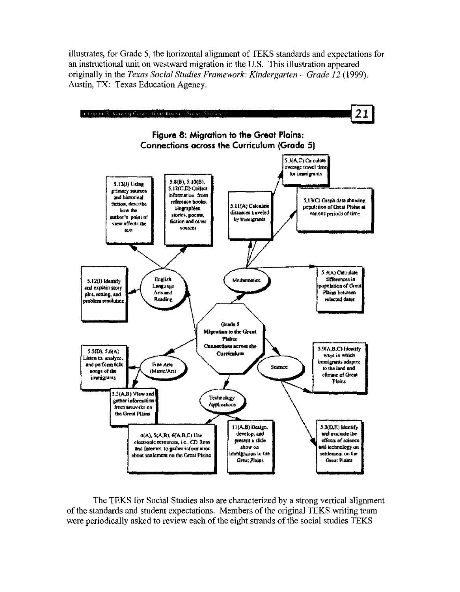illustrates, for Grade 5, the horizontal alignment of TEKS standards and expectations for an instructional unit on westward migration in the U.S. This illustration appeared originally in the *Texas Social Studies Framework: Kindergarten – Grade 12* (1999). Austin, TX: Texas Education Agency.



The TEKS for Social Studies also are characterized by a strong vertical alignment of the standards and student expectations. Members of the original TEKS writing team were periodically asked to review each of the eight strands of the social studies TEKS